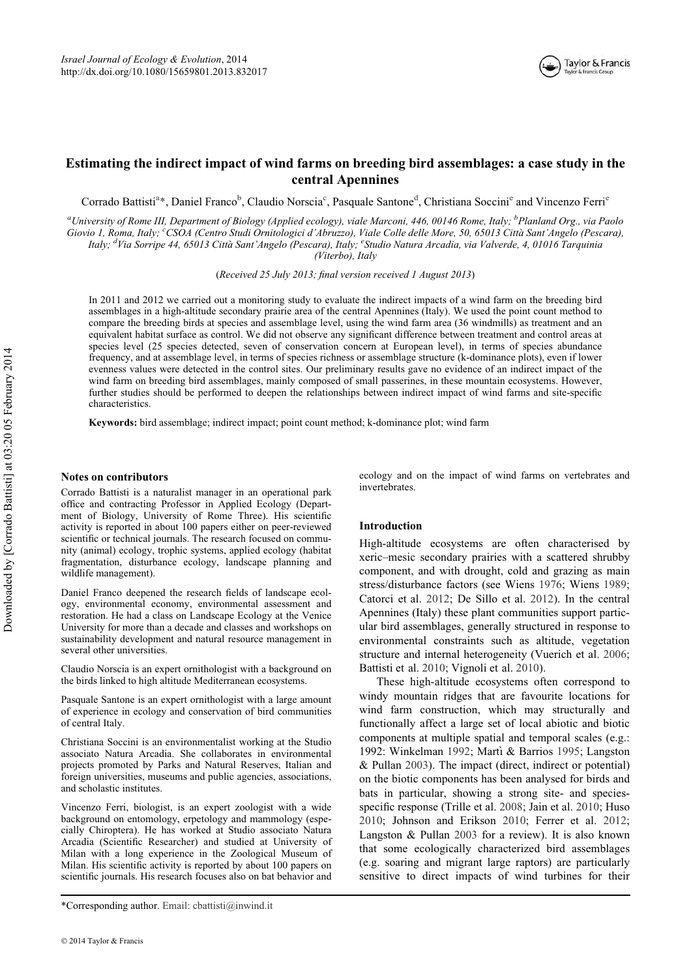

# Estimating the indirect impact of wind farms on breeding bird assemblages: a case study in the central Apennines

Corrado Battisti<sup>a</sup>\*, Daniel Franco<sup>b</sup>, Claudio Norscia<sup>c</sup>, Pasquale Santone<sup>d</sup>, Christiana Soccini<sup>e</sup> and Vincenzo Ferri<sup>e</sup>

<sup>a</sup>University of Rome III, Department of Biology (Applied ecology), viale Marconi, 446, 00146 Rome, Italy; <sup>b</sup>Planland Org., via Paolo Giovio 1, Roma, Italy; <sup>c</sup>CSOA (Centro Studi Ornitologici d'Abruzzo), Viale Colle delle More, 50, 65013 Città Sant'Angelo (Pescara), Italy; <sup>d</sup>Via Sorripe 44, 65013 Città Sant'Angelo (Pescara), Italy; <sup>e</sup>Studio Natura Arcadia, via Valverde, 4, 01016 Tarquinia (Viterbo), Italy

(Received 25 July 2013; final version received 1 August 2013)

In 2011 and 2012 we carried out a monitoring study to evaluate the indirect impacts of a wind farm on the breeding bird assemblages in a high-altitude secondary prairie area of the central Apennines (Italy). We used the point count method to compare the breeding birds at species and assemblage level, using the wind farm area (36 windmills) as treatment and an equivalent habitat surface as control. We did not observe any significant difference between treatment and control areas at species level (25 species detected, seven of conservation concern at European level), in terms of species abundance frequency, and at assemblage level, in terms of species richness or assemblage structure (k-dominance plots), even if lower evenness values were detected in the control sites. Our preliminary results gave no evidence of an indirect impact of the wind farm on breeding bird assemblages, mainly composed of small passerines, in these mountain ecosystems. However, further studies should be performed to deepen the relationships between indirect impact of wind farms and site-specific characteristics.

Keywords: bird assemblage; indirect impact; point count method; k-dominance plot; wind farm

## Notes on contributors

Corrado Battisti is a naturalist manager in an operational park office and contracting Professor in Applied Ecology (Department of Biology, University of Rome Three). His scientific activity is reported in about 100 papers either on peer-reviewed scientific or technical journals. The research focused on community (animal) ecology, trophic systems, applied ecology (habitat fragmentation, disturbance ecology, landscape planning and wildlife management).

Daniel Franco deepened the research fields of landscape ecology, environmental economy, environmental assessment and restoration. He had a class on Landscape Ecology at the Venice University for more than a decade and classes and workshops on sustainability development and natural resource management in several other universities.

Claudio Norscia is an expert ornithologist with a background on the birds linked to high altitude Mediterranean ecosystems.

Pasquale Santone is an expert ornithologist with a large amount of experience in ecology and conservation of bird communities of central Italy.

Christiana Soccini is an environmentalist working at the Studio associato Natura Arcadia. She collaborates in environmental projects promoted by Parks and Natural Reserves, Italian and foreign universities, museums and public agencies, associations, and scholastic institutes.

Vincenzo Ferri, biologist, is an expert zoologist with a wide background on entomology, erpetology and mammology (especially Chiroptera). He has worked at Studio associato Natura Arcadia (Scientific Researcher) and studied at University of Milan with a long experience in the Zoological Museum of Milan. His scientific activity is reported by about 100 papers on scientific journals. His research focuses also on bat behavior and

ecology and on the impact of wind farms on vertebrates and invertebrates.

# Introduction

High-altitude ecosystems are often characterised by xeric–mesic secondary prairies with a scattered shrubby component, and with drought, cold and grazing as main stress/disturbance factors (see Wiens 1976; Wiens 1989; Catorci et al. 2012; De Sillo et al. 2012). In the central Apennines (Italy) these plant communities support particular bird assemblages, generally structured in response to environmental constraints such as altitude, vegetation structure and internal heterogeneity (Vuerich et al. 2006; Battisti et al. 2010; Vignoli et al. 2010).

These high-altitude ecosystems often correspond to windy mountain ridges that are favourite locations for wind farm construction, which may structurally and functionally affect a large set of local abiotic and biotic components at multiple spatial and temporal scales (e.g.: 1992: Winkelman 1992; Martì & Barrios 1995; Langston & Pullan 2003). The impact (direct, indirect or potential) on the biotic components has been analysed for birds and bats in particular, showing a strong site- and speciesspecific response (Trille et al. 2008; Jain et al. 2010; Huso 2010; Johnson and Erikson 2010; Ferrer et al. 2012; Langston & Pullan 2003 for a review). It is also known that some ecologically characterized bird assemblages (e.g. soaring and migrant large raptors) are particularly sensitive to direct impacts of wind turbines for their

<sup>\*</sup>Corresponding author. Email: cbattisti@inwind.it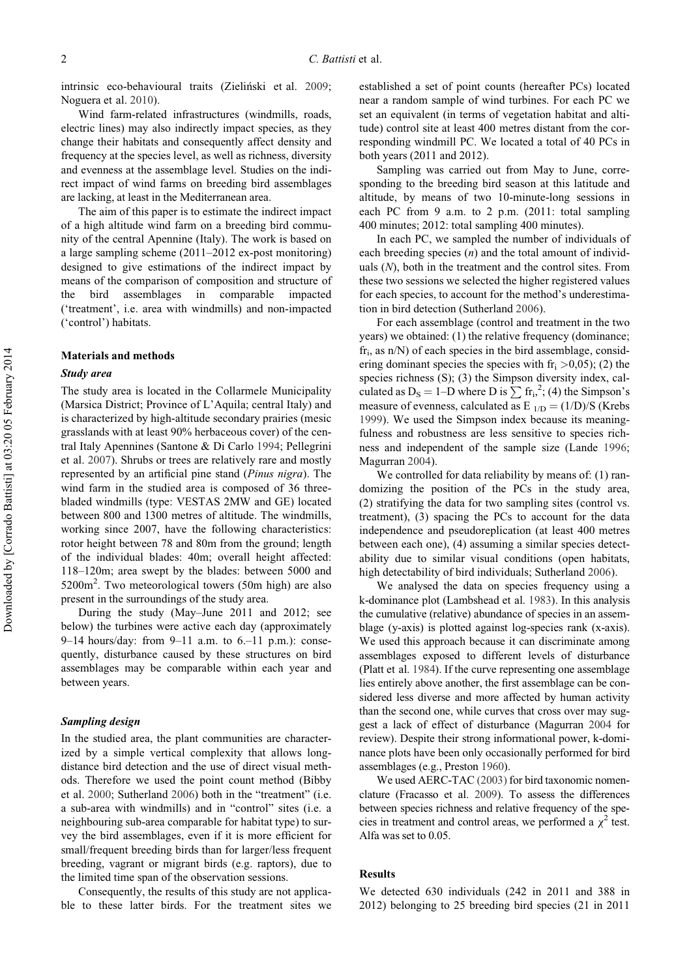intrinsic eco-behavioural traits (Zieliński et al. 2009; Noguera et al. 2010).

Wind farm-related infrastructures (windmills, roads, electric lines) may also indirectly impact species, as they change their habitats and consequently affect density and frequency at the species level, as well as richness, diversity and evenness at the assemblage level. Studies on the indirect impact of wind farms on breeding bird assemblages are lacking, at least in the Mediterranean area.

The aim of this paper is to estimate the indirect impact of a high altitude wind farm on a breeding bird community of the central Apennine (Italy). The work is based on a large sampling scheme (2011–2012 ex-post monitoring) designed to give estimations of the indirect impact by means of the comparison of composition and structure of the bird assemblages in comparable impacted ('treatment', i.e. area with windmills) and non-impacted ('control') habitats.

## Materials and methods

#### Study area

The study area is located in the Collarmele Municipality (Marsica District; Province of L'Aquila; central Italy) and is characterized by high-altitude secondary prairies (mesic grasslands with at least 90% herbaceous cover) of the central Italy Apennines (Santone & Di Carlo 1994; Pellegrini et al. 2007). Shrubs or trees are relatively rare and mostly represented by an artificial pine stand (Pinus nigra). The wind farm in the studied area is composed of 36 threebladed windmills (type: VESTAS 2MW and GE) located between 800 and 1300 metres of altitude. The windmills, working since 2007, have the following characteristics: rotor height between 78 and 80m from the ground; length of the individual blades: 40m; overall height affected: 118–120m; area swept by the blades: between 5000 and 5200m<sup>2</sup>. Two meteorological towers (50m high) are also present in the surroundings of the study area.

During the study (May–June 2011 and 2012; see below) the turbines were active each day (approximately 9–14 hours/day: from 9–11 a.m. to 6.–11 p.m.): consequently, disturbance caused by these structures on bird assemblages may be comparable within each year and between years.

## Sampling design

In the studied area, the plant communities are characterized by a simple vertical complexity that allows longdistance bird detection and the use of direct visual methods. Therefore we used the point count method (Bibby et al. 2000; Sutherland 2006) both in the "treatment" (i.e. a sub-area with windmills) and in "control" sites (i.e. a neighbouring sub-area comparable for habitat type) to survey the bird assemblages, even if it is more efficient for small/frequent breeding birds than for larger/less frequent breeding, vagrant or migrant birds (e.g. raptors), due to the limited time span of the observation sessions.

Consequently, the results of this study are not applicable to these latter birds. For the treatment sites we established a set of point counts (hereafter PCs) located near a random sample of wind turbines. For each PC we set an equivalent (in terms of vegetation habitat and altitude) control site at least 400 metres distant from the corresponding windmill PC. We located a total of 40 PCs in both years (2011 and 2012).

Sampling was carried out from May to June, corresponding to the breeding bird season at this latitude and altitude, by means of two 10-minute-long sessions in each PC from 9 a.m. to 2 p.m. (2011: total sampling 400 minutes; 2012: total sampling 400 minutes).

In each PC, we sampled the number of individuals of each breeding species  $(n)$  and the total amount of individuals  $(N)$ , both in the treatment and the control sites. From these two sessions we selected the higher registered values for each species, to account for the method's underestimation in bird detection (Sutherland 2006).

For each assemblage (control and treatment in the two years) we obtained: (1) the relative frequency (dominance;  $\mathbf{f}$ r<sub>i</sub>, as n/N) of each species in the bird assemblage, considering dominant species the species with  $fr<sub>i</sub> > 0.05$ ; (2) the species richness (S); (3) the Simpson diversity index, calculated as  $D_s = 1-D$  where D is  $\sum fr_i^2$ ; (4) the Simpson's measure of evenness, calculated as  $E_{1/D} = (1/D)/S$  (Krebs 1999). We used the Simpson index because its meaningfulness and robustness are less sensitive to species richness and independent of the sample size (Lande 1996; Magurran 2004).

We controlled for data reliability by means of: (1) randomizing the position of the PCs in the study area, (2) stratifying the data for two sampling sites (control vs. treatment), (3) spacing the PCs to account for the data independence and pseudoreplication (at least 400 metres between each one), (4) assuming a similar species detectability due to similar visual conditions (open habitats, high detectability of bird individuals; Sutherland 2006).

We analysed the data on species frequency using a k-dominance plot (Lambshead et al. 1983). In this analysis the cumulative (relative) abundance of species in an assemblage (y-axis) is plotted against log-species rank (x-axis). We used this approach because it can discriminate among assemblages exposed to different levels of disturbance (Platt et al. 1984). If the curve representing one assemblage lies entirely above another, the first assemblage can be considered less diverse and more affected by human activity than the second one, while curves that cross over may suggest a lack of effect of disturbance (Magurran 2004 for review). Despite their strong informational power, k-dominance plots have been only occasionally performed for bird assemblages (e.g., Preston 1960).

We used AERC-TAC (2003) for bird taxonomic nomenclature (Fracasso et al. 2009). To assess the differences between species richness and relative frequency of the species in treatment and control areas, we performed a  $\chi^2$  test. Alfa was set to 0.05.

## Results

We detected 630 individuals (242 in 2011 and 388 in 2012) belonging to 25 breeding bird species (21 in 2011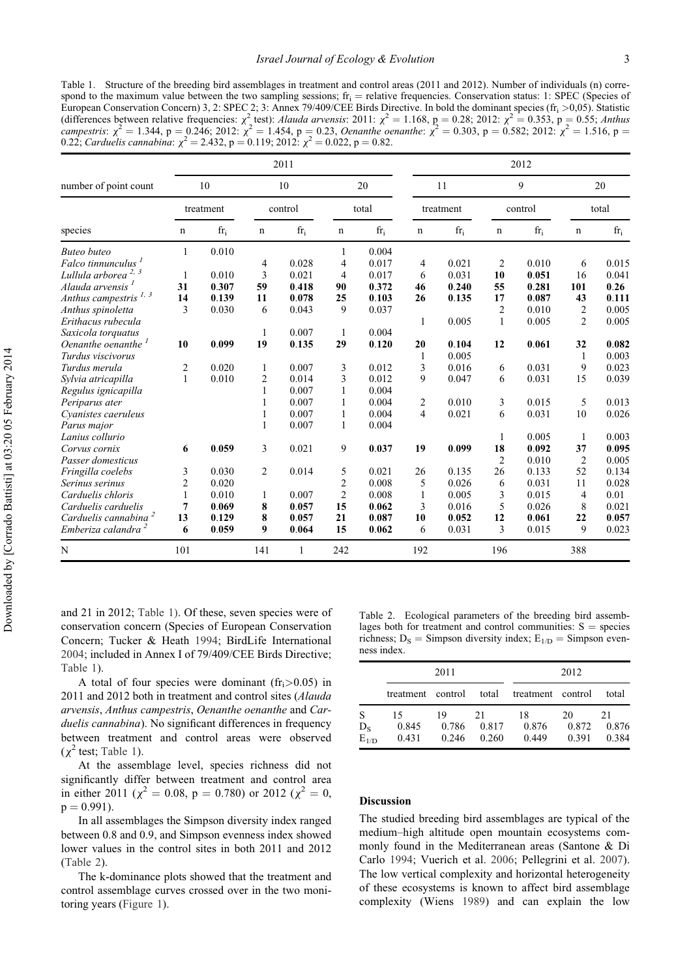Table 1. Structure of the breeding bird assemblages in treatment and control areas (2011 and 2012). Number of individuals (n) correspond to the maximum value between the two sampling sessions;  $fr_i$  = relative frequencies. Conservation status: 1: SPEC (Species of European Conservation Concern) 3, 2: SPEC 2; 3: Annex 79/409/CEE Birds Directive. In bold the dominant species ( $fr_i > 0.05$ ). Statistic (differences between relative frequencies:  $\chi^2$  test): Alauda arvensis: 2011:  $\chi^2 = 1.168$ , p = 0.28; 2012:  $\chi^2 = 0.353$ , p = 0.55; Anthus campestris:  $\chi^2 = 1.344$ , p = 0.246; 2012:  $\chi^2 = 1.454$ , p = 0.23, Oenanthe oenanthe:  $\chi^2 = 0.303$ , p = 0.582; 2012:  $\chi^2 = 1.516$ , p = 0.22; Carduelis cannabina:  $\chi^2 = 2.432$ , p = 0.119; 2012:  $\chi^2 = 0.022$ , p = 0.82.

|                                   | 2011               |       |               |       |                |       | 2012            |       |              |       |                |       |
|-----------------------------------|--------------------|-------|---------------|-------|----------------|-------|-----------------|-------|--------------|-------|----------------|-------|
| number of point count<br>species  | 10<br>treatment    |       | 10<br>control |       | 20<br>total    |       | 11<br>treatment |       | 9<br>control |       | 20<br>total    |       |
|                                   |                    |       |               |       |                |       |                 |       |              |       |                |       |
|                                   | <b>Buteo</b> buteo | 1     | 0.010         |       |                | 1     | 0.004           |       |              |       |                |       |
| Falco tinnunculus <sup>1</sup>    |                    |       | 4             | 0.028 | 4              | 0.017 | $\overline{4}$  | 0.021 | 2            | 0.010 | 6              | 0.015 |
| Lullula arborea <sup>2, 3</sup>   | 1                  | 0.010 | 3             | 0.021 | 4              | 0.017 | 6               | 0.031 | 10           | 0.051 | 16             | 0.041 |
| Alauda arvensis <sup>1</sup>      | 31                 | 0.307 | 59            | 0.418 | 90             | 0.372 | 46              | 0.240 | 55           | 0.281 | 101            | 0.26  |
| Anthus campestris <sup>1, 3</sup> | 14                 | 0.139 | 11            | 0.078 | 25             | 0.103 | 26              | 0.135 | 17           | 0.087 | 43             | 0.111 |
| Anthus spinoletta                 | 3                  | 0.030 | 6             | 0.043 | 9              | 0.037 |                 |       | 2            | 0.010 | 2              | 0.005 |
| Erithacus rubecula                |                    |       |               |       |                |       | 1               | 0.005 | $\mathbf{1}$ | 0.005 | $\overline{2}$ | 0.005 |
| Saxicola torquatus                |                    |       | 1             | 0.007 | 1              | 0.004 |                 |       |              |       |                |       |
| Oenanthe oenanthe <sup>1</sup>    | 10                 | 0.099 | 19            | 0.135 | 29             | 0.120 | 20              | 0.104 | 12           | 0.061 | 32             | 0.082 |
| Turdus viscivorus                 |                    |       |               |       |                |       | -1              | 0.005 |              |       | 1              | 0.003 |
| Turdus merula                     | $\overline{2}$     | 0.020 | $\mathbf{1}$  | 0.007 | 3              | 0.012 | 3               | 0.016 | 6            | 0.031 | 9              | 0.023 |
| Sylvia atricapilla                | $\mathbf{1}$       | 0.010 | 2             | 0.014 | 3              | 0.012 | 9               | 0.047 | 6            | 0.031 | 15             | 0.039 |
| Regulus ignicapilla               |                    |       | 1             | 0.007 | 1              | 0.004 |                 |       |              |       |                |       |
| Periparus ater                    |                    |       | 1             | 0.007 | 1              | 0.004 | $\overline{2}$  | 0.010 | 3            | 0.015 | 5              | 0.013 |
| Cyanistes caeruleus               |                    |       |               | 0.007 | 1              | 0.004 | $\overline{4}$  | 0.021 | 6            | 0.031 | 10             | 0.026 |
| Parus major                       |                    |       | 1             | 0.007 | 1              | 0.004 |                 |       |              |       |                |       |
| Lanius collurio                   |                    |       |               |       |                |       |                 |       | 1            | 0.005 | $\mathbf{1}$   | 0.003 |
| Corvus cornix                     | 6                  | 0.059 | 3             | 0.021 | 9              | 0.037 | 19              | 0.099 | 18           | 0.092 | 37             | 0.095 |
| Passer domesticus                 |                    |       |               |       |                |       |                 |       | 2            | 0.010 | $\overline{2}$ | 0.005 |
| Fringilla coelebs                 | 3                  | 0.030 | 2             | 0.014 | 5              | 0.021 | 26              | 0.135 | 26           | 0.133 | 52             | 0.134 |
| Serinus serinus                   | 2                  | 0.020 |               |       | 2              | 0.008 | 5               | 0.026 | 6            | 0.031 | 11             | 0.028 |
| Carduelis chloris                 | 1                  | 0.010 | 1             | 0.007 | $\overline{c}$ | 0.008 | $\mathbf{1}$    | 0.005 | 3            | 0.015 | $\overline{4}$ | 0.01  |
| Carduelis carduelis               | 7                  | 0.069 | 8             | 0.057 | 15             | 0.062 | 3               | 0.016 | 5            | 0.026 | 8              | 0.021 |
| Carduelis cannabina <sup>2</sup>  | 13                 | 0.129 | 8             | 0.057 | 21             | 0.087 | 10              | 0.052 | 12           | 0.061 | 22             | 0.057 |
| Emberiza calandra <sup>2</sup>    | 6                  | 0.059 | 9             | 0.064 | 15             | 0.062 | 6               | 0.031 | 3            | 0.015 | 9              | 0.023 |
| N                                 | 101                |       | 141           | 1     | 242            |       | 192             |       | 196          |       | 388            |       |

and 21 in 2012; Table 1). Of these, seven species were of conservation concern (Species of European Conservation Concern; Tucker & Heath 1994; BirdLife International 2004; included in Annex I of 79/409/CEE Birds Directive; Table 1).

A total of four species were dominant ( $fr<sub>i</sub> > 0.05$ ) in 2011 and 2012 both in treatment and control sites (Alauda arvensis, Anthus campestris, Oenanthe oenanthe and Carduelis cannabina). No significant differences in frequency between treatment and control areas were observed  $(\chi^2 \text{ test}; \text{Table 1}).$ 

At the assemblage level, species richness did not significantly differ between treatment and control area in either 2011 ( $\chi^2 = 0.08$ , p = 0.780) or 2012 ( $\chi^2 = 0$ ,  $p = 0.991$ ).

In all assemblages the Simpson diversity index ranged between 0.8 and 0.9, and Simpson evenness index showed lower values in the control sites in both 2011 and 2012 (Table 2).

The k-dominance plots showed that the treatment and control assemblage curves crossed over in the two monitoring years (Figure 1).

Table 2. Ecological parameters of the breeding bird assemblages both for treatment and control communities:  $S =$  species richness; D<sub>S</sub> = Simpson diversity index; E<sub>1/D</sub> = Simpson evenness index.

|                                 |                   | 2011           |                | 2012                    |                |                |  |  |
|---------------------------------|-------------------|----------------|----------------|-------------------------|----------------|----------------|--|--|
|                                 | treatment control |                |                | total treatment control |                | total          |  |  |
| S                               | 15                | 19             | 21             | 18                      | 20             | 21             |  |  |
| $D_{S}$<br>$\overline{E}_{1/D}$ | 0.845<br>0.431    | 0.786<br>0.246 | 0.817<br>0.260 | 0.876<br>0.449          | 0.872<br>0.391 | 0.876<br>0.384 |  |  |

#### Discussion

The studied breeding bird assemblages are typical of the medium–high altitude open mountain ecosystems commonly found in the Mediterranean areas (Santone & Di Carlo 1994; Vuerich et al. 2006; Pellegrini et al. 2007). The low vertical complexity and horizontal heterogeneity of these ecosystems is known to affect bird assemblage complexity (Wiens 1989) and can explain the low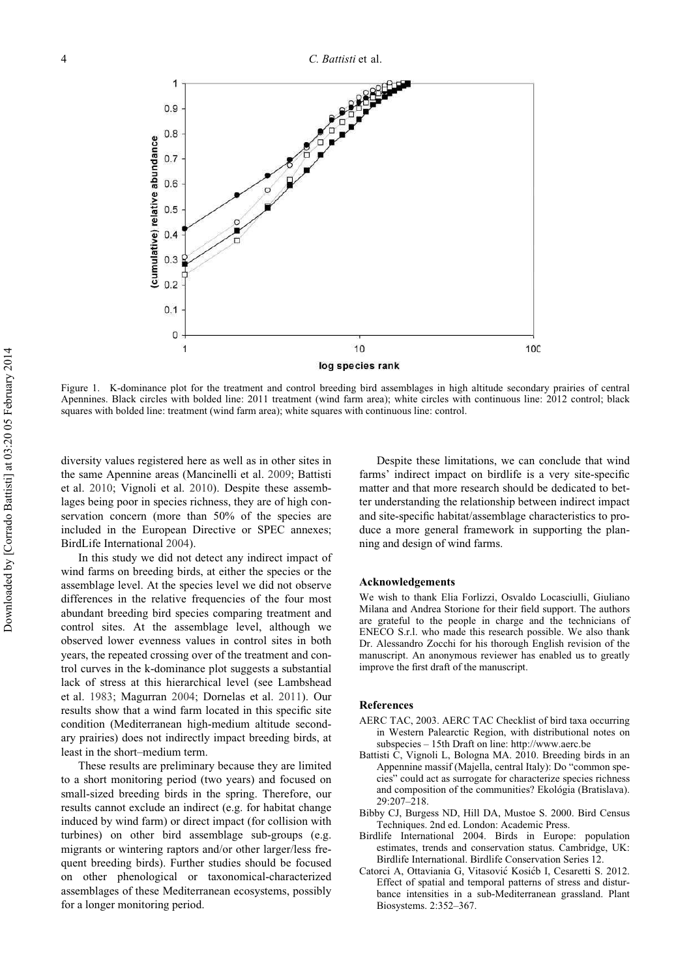

Figure 1. K-dominance plot for the treatment and control breeding bird assemblages in high altitude secondary prairies of central Apennines. Black circles with bolded line: 2011 treatment (wind farm area); white circles with continuous line: 2012 control; black squares with bolded line: treatment (wind farm area); white squares with continuous line: control.

diversity values registered here as well as in other sites in the same Apennine areas (Mancinelli et al. 2009; Battisti et al. 2010; Vignoli et al. 2010). Despite these assemblages being poor in species richness, they are of high conservation concern (more than 50% of the species are included in the European Directive or SPEC annexes; BirdLife International 2004).

In this study we did not detect any indirect impact of wind farms on breeding birds, at either the species or the assemblage level. At the species level we did not observe differences in the relative frequencies of the four most abundant breeding bird species comparing treatment and control sites. At the assemblage level, although we observed lower evenness values in control sites in both years, the repeated crossing over of the treatment and control curves in the k-dominance plot suggests a substantial lack of stress at this hierarchical level (see Lambshead et al. 1983; Magurran 2004; Dornelas et al. 2011). Our results show that a wind farm located in this specific site condition (Mediterranean high-medium altitude secondary prairies) does not indirectly impact breeding birds, at least in the short–medium term.

These results are preliminary because they are limited to a short monitoring period (two years) and focused on small-sized breeding birds in the spring. Therefore, our results cannot exclude an indirect (e.g. for habitat change induced by wind farm) or direct impact (for collision with turbines) on other bird assemblage sub-groups (e.g. migrants or wintering raptors and/or other larger/less frequent breeding birds). Further studies should be focused on other phenological or taxonomical-characterized assemblages of these Mediterranean ecosystems, possibly for a longer monitoring period.

Despite these limitations, we can conclude that wind farms' indirect impact on birdlife is a very site-specific matter and that more research should be dedicated to better understanding the relationship between indirect impact and site-specific habitat/assemblage characteristics to produce a more general framework in supporting the planning and design of wind farms.

#### Acknowledgements

We wish to thank Elia Forlizzi, Osvaldo Locasciulli, Giuliano Milana and Andrea Storione for their field support. The authors are grateful to the people in charge and the technicians of ENECO S.r.l. who made this research possible. We also thank Dr. Alessandro Zocchi for his thorough English revision of the manuscript. An anonymous reviewer has enabled us to greatly improve the first draft of the manuscript.

#### References

- AERC TAC, 2003. AERC TAC Checklist of bird taxa occurring in Western Palearctic Region, with distributional notes on subspecies – 15th Draft on line: http://www.aerc.be
- Battisti C, Vignoli L, Bologna MA. 2010. Breeding birds in an Appennine massif (Majella, central Italy): Do "common species" could act as surrogate for characterize species richness and composition of the communities? Ekológia (Bratislava). 29:207–218.
- Bibby CJ, Burgess ND, Hill DA, Mustoe S. 2000. Bird Census Techniques. 2nd ed. London: Academic Press.
- Birdlife International 2004. Birds in Europe: population estimates, trends and conservation status. Cambridge, UK: Birdlife International. Birdlife Conservation Series 12.
- Catorci A, Ottaviania G, Vitasović Kosićb I, Cesaretti S. 2012. Effect of spatial and temporal patterns of stress and disturbance intensities in a sub-Mediterranean grassland. Plant Biosystems. 2:352–367.